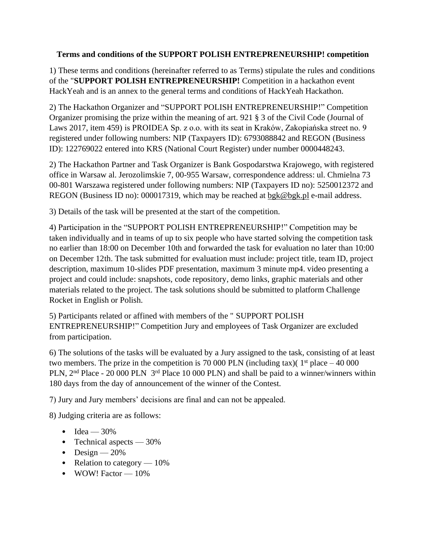## **Terms and conditions of the SUPPORT POLISH ENTREPRENEURSHIP! competition**

1) These terms and conditions (hereinafter referred to as Terms) stipulate the rules and conditions of the "**SUPPORT POLISH ENTREPRENEURSHIP!** Competition in a hackathon event HackYeah and is an annex to the general terms and conditions of HackYeah Hackathon.

2) The Hackathon Organizer and "SUPPORT POLISH ENTREPRENEURSHIP!" Competition Organizer promising the prize within the meaning of art. 921 § 3 of the Civil Code (Journal of Laws 2017, item 459) is PROIDEA Sp. z o.o. with its seat in Kraków, Zakopiańska street no. 9 registered under following numbers: NIP (Taxpayers ID): 6793088842 and REGON (Business ID): 122769022 entered into KRS (National Court Register) under number 0000448243.

2) The Hackathon Partner and Task Organizer is Bank Gospodarstwa Krajowego, with registered office in Warsaw al. Jerozolimskie 7, 00-955 Warsaw, correspondence address: ul. Chmielna 73 00-801 Warszawa registered under following numbers: NIP (Taxpayers ID no): 5250012372 and REGON (Business ID no): 000017319, which may be reached at [bgk@bgk.pl](mailto:bgk@bgk.pl) e-mail address.

3) Details of the task will be presented at the start of the competition.

4) Participation in the "SUPPORT POLISH ENTREPRENEURSHIP!" Competition may be taken individually and in teams of up to six people who have started solving the competition task no earlier than 18:00 on December 10th and forwarded the task for evaluation no later than 10:00 on December 12th. The task submitted for evaluation must include: project title, team ID, project description, maximum 10-slides PDF presentation, maximum 3 minute mp4. video presenting a project and could include: snapshots, code repository, demo links, graphic materials and other materials related to the project. The task solutions should be submitted to platform Challenge Rocket in English or Polish.

5) Participants related or affined with members of the " SUPPORT POLISH ENTREPRENEURSHIP!" Competition Jury and employees of Task Organizer are excluded from participation.

6) The solutions of the tasks will be evaluated by a Jury assigned to the task, consisting of at least two members. The prize in the competition is 70 000 PLN (including tax)( $1<sup>st</sup>$  place – 40 000 PLN, 2<sup>nd</sup> Place - 20 000 PLN 3<sup>rd</sup> Place 10 000 PLN) and shall be paid to a winner/winners within 180 days from the day of announcement of the winner of the Contest.

7) Jury and Jury members' decisions are final and can not be appealed.

8) Judging criteria are as follows:

- Idea  $30\%$
- Technical aspects 30%
- Design  $-20%$
- Relation to category  $-10\%$
- WOW! Factor  $-10\%$